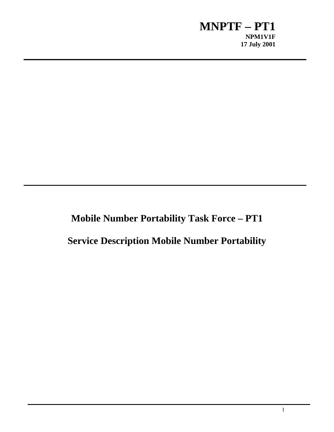**Mobile Number Portability Task Force – PT1**

**Service Description Mobile Number Portability**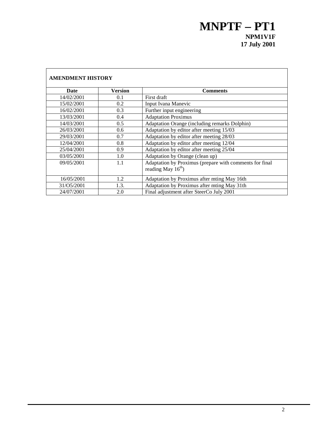| <b>AMENDMENT HISTORY</b> |         |                                                         |  |  |
|--------------------------|---------|---------------------------------------------------------|--|--|
| <b>Date</b>              | Version | <b>Comments</b>                                         |  |  |
| 14/02/2001               | 0.1     | First draft                                             |  |  |
| 15/02/2001               | 0.2     | Input Ivana Manevic                                     |  |  |
| 16/02/2001               | 0.3     | Further input engineering                               |  |  |
| 13/03/2001               | 0.4     | <b>Adaptation Proximus</b>                              |  |  |
| 14/03/2001               | 0.5     | Adaptation Orange (including remarks Dolphin)           |  |  |
| 26/03/2001               | 0.6     | Adaptation by editor after meeting 15/03                |  |  |
| 29/03/2001               | 0.7     | Adaptation by editor after meeting 28/03                |  |  |
| 12/04/2001               | 0.8     | Adaptation by editor after meeting 12/04                |  |  |
| 25/04/2001               | 0.9     | Adaptation by editor after meeting 25/04                |  |  |
| 03/05/2001               | 1.0     | Adaptation by Orange (clean up)                         |  |  |
| 09/05/2001               | 1.1     | Adaptation by Proximus (prepare with comments for final |  |  |
|                          |         | reading May $16th$ )                                    |  |  |
| 16/05/2001               | 1.2     | Adaptation by Proximus after mting May 16th             |  |  |
| 31/05/2001               | 1.3.    | Adaptation by Proximus after mting May 31th             |  |  |
| 24/07/2001               | 2.0     | Final adjustment after SteerCo July 2001                |  |  |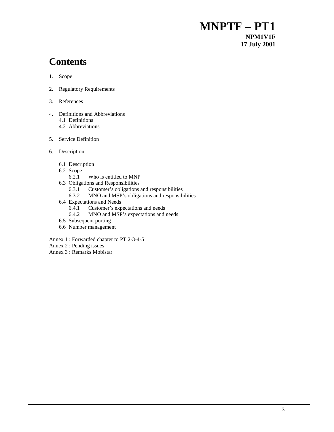# **Contents**

- 1. Scope
- 2. Regulatory Requirements
- 3. References
- 4. Definitions and Abbreviations
	- 4.1 Definitions
	- 4.2 Abbreviations
- 5. Service Definition
- 6. Description
	- 6.1 Description
	- 6.2 Scope
		- 6.2.1 Who is entitled to MNP
	- 6.3 Obligations and Responsibilities
		- 6.3.1 Customer's obligations and responsibilities
		- 6.3.2 MNO and MSP's obligations and responsibilities
	- 6.4 Expectations and Needs
		- 6.4.1 Customer's expectations and needs
		- 6.4.2 MNO and MSP's expectations and needs
	- 6.5 Subsequent porting
	- 6.6 Number management
- Annex 1 : Forwarded chapter to PT 2-3-4-5
- Annex 2 : Pending issues
- Annex 3 : Remarks Mobistar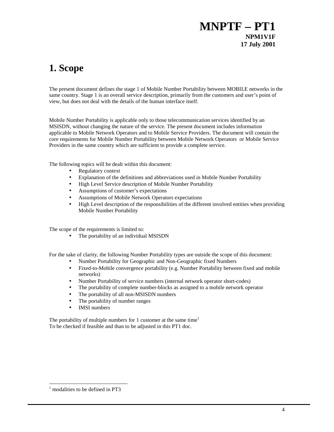# **1. Scope**

The present document defines the stage 1 of Mobile Number Portability between MOBILE networks in the same country. Stage 1 is an overall service description, primarily from the customers and user's point of view, but does not deal with the details of the human interface itself.

Mobile Number Portability is applicable only to those telecommunication services identified by an MSISDN, without changing the nature of the service. The present document includes information applicable to Mobile Network Operators and to Mobile Service Providers. The document will contain the core requirements for Mobile Number Portability between Mobile Network Operators or Mobile Service Providers in the same country which are sufficient to provide a complete service.

The following topics will be dealt within this document:

- Regulatory context
- Explanation of the definitions and abbreviations used in Mobile Number Portability
- High Level Service description of Mobile Number Portability
- Assumptions of customer's expectations
- Assumptions of Mobile Network Operators expectations
- High Level description of the responsibilities of the different involved entities when providing Mobile Number Portability

The scope of the requirements is limited to:

• The portability of an individual MSISDN

For the sake of clarity, the following Number Portability types are outside the scope of this document:

- Number Portability for Geographic and Non-Geographic fixed Numbers
- Fixed-to-Mobile convergence portability (e.g. Number Portability between fixed and mobile networks)
- Number Portability of service numbers (internal network operator short-codes)
- The portability of complete number-blocks as assigned to a mobile network operator
- The portability of all non-MSISDN numbers
- The portability of number ranges
- IMSI numbers

The portability of multiple numbers for 1 customer at the same time<sup>1</sup> To be checked if feasible and than to be adjusted in this PT1 doc.

<sup>1</sup> modalities to be defined in PT3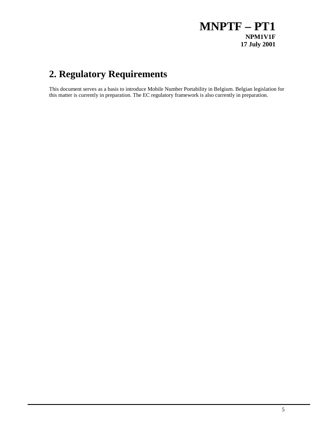# **2. Regulatory Requirements**

This document serves as a basis to introduce Mobile Number Portability in Belgium. Belgian legislation for this matter is currently in preparation. The EC regulatory framework is also currently in preparation.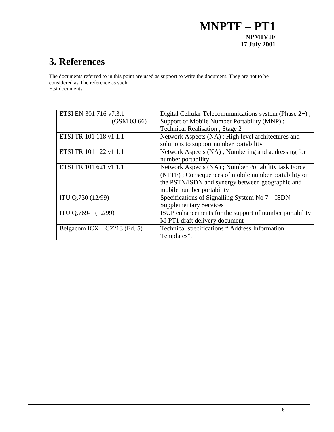# **3. References**

The documents referred to in this point are used as support to write the document. They are not to be considered as The reference as such.

Etsi documents:

| ETSI EN 301 716 v7.3.1         | Digital Cellular Telecommunications system (Phase 2+);  |
|--------------------------------|---------------------------------------------------------|
| (GSM 03.66)                    | Support of Mobile Number Portability (MNP);             |
|                                | <b>Technical Realisation</b> ; Stage 2                  |
| ETSI TR 101 118 v1.1.1         | Network Aspects (NA); High level architectures and      |
|                                | solutions to support number portability                 |
| ETSI TR 101 122 v1.1.1         | Network Aspects (NA); Numbering and addressing for      |
|                                | number portability                                      |
| ETSI TR 101 621 v1.1.1         | Network Aspects (NA); Number Portability task Force     |
|                                | (NPTF); Consequences of mobile number portability on    |
|                                | the PSTN/ISDN and synergy between geographic and        |
|                                | mobile number portability                               |
| ITU Q.730 (12/99)              | Specifications of Signalling System No 7 – ISDN         |
|                                | <b>Supplementary Services</b>                           |
| ITU Q.769-1 (12/99)            | ISUP enhancements for the support of number portability |
|                                | M-PT1 draft delivery document                           |
| Belgacom ICX $-$ C2213 (Ed. 5) | Technical specifications " Address Information          |
|                                | Templates".                                             |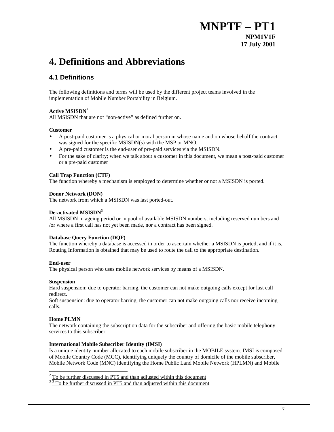# **4. Definitions and Abbreviations**

## **4.1 Definitions**

The following definitions and terms will be used by the different project teams involved in the implementation of Mobile Number Portability in Belgium.

## **Active MSISDN<sup>2</sup>**

All MSISDN that are not "non-active" as defined further on.

### **Customer**

- A post-paid customer is a physical or moral person in whose name and on whose behalf the contract was signed for the specific MSISDN(s) with the MSP or MNO.
- A pre-paid customer is the end-user of pre-paid services via the MSISDN.
- For the sake of clarity; when we talk about a customer in this document, we mean a post-paid customer or a pre-paid customer

### **Call Trap Function (CTF)**

The function whereby a mechanism is employed to determine whether or not a MSISDN is ported.

#### **Donor Network (DON)**

The network from which a MSISDN was last ported-out.

### **De-activated MSISDN<sup>3</sup>**

All MSISDN in ageing period or in pool of available MSISDN numbers, including reserved numbers and /or where a first call has not yet been made, nor a contract has been signed.

### **Database Query Function (DQF)**

The function whereby a database is accessed in order to ascertain whether a MSISDN is ported, and if it is, Routing Information is obtained that may be used to route the call to the appropriate destination.

### **End-user**

The physical person who uses mobile network services by means of a MSISDN.

#### **Suspension**

Hard suspension: due to operator barring, the customer can not make outgoing calls except for last call redirect.

Soft suspension: due to operator barring, the customer can not make outgoing calls nor receive incoming calls.

### **Home PLMN**

The network containing the subscription data for the subscriber and offering the basic mobile telephony services to this subscriber.

### **International Mobile Subscriber Identity (IMSI)**

Is a unique identity number allocated to each mobile subscriber in the MOBILE system. IMSI is composed of Mobile Country Code (MCC), identifying uniquely the country of domicile of the mobile subscriber, Mobile Network Code (MNC) identifying the Home Public Land Mobile Network (HPLMN) and Mobile

 $\overline{a}$  $2^{2}$  To be further discussed in PT5 and than adjusted within this document

 $3 \times 3$  To be further discussed in PT5 and than adjusted within this document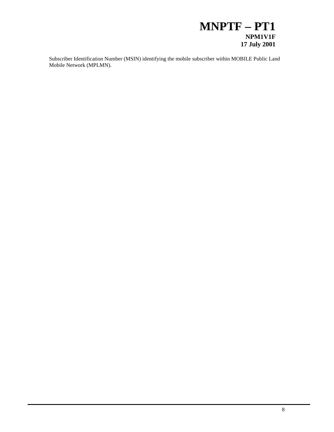Subscriber Identification Number (MSIN) identifying the mobile subscriber within MOBILE Public Land Mobile Network (MPLMN).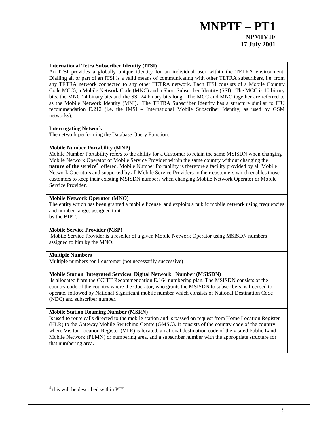### **International Tetra Subscriber Identity (ITSI)**

An ITSI provides a globally unique identity for an individual user within the TETRA environment. Dialling all or part of an ITSI is a valid means of communicating with other TETRA subscribers, i.e. from any TETRA network connected to any other TETRA network. Each ITSI consists of a Mobile Country Code MCC), a Mobile Network Code (MNC) and a Short Subscriber Identity (SSI). The MCC is 10 binary bits, the MNC 14 binary bits and the SSI 24 binary bits long. The MCC and MNC together are referred to as the Mobile Network Identity (MNI). The TETRA Subscriber Identity has a structure similar to ITU recommendation E.212 (i.e. the IMSI – International Mobile Subscriber Identity, as used by GSM networks).

### **Interrogating Network**

The network performing the Database Query Function.

### **Mobile Number Portability (MNP)**

Mobile Number Portability refers to the ability for a Customer to retain the same MSISDN when changing Mobile Network Operator or Mobile Service Provider within the same country without changing the **nature of the service**<sup>4</sup> offered. Mobile Number Portability is therefore a facility provided by all Mobile Network Operators and supported by all Mobile Service Providers to their customers which enables those customers to keep their existing MSISDN numbers when changing Mobile Network Operator or Mobile Service Provider.

### **Mobile Network Operator (MNO)**

The entity which has been granted a mobile license and exploits a public mobile network using frequencies and number ranges assigned to it

by the BIPT.

## **Mobile Service Provider (MSP)**

 Mobile Service Provider is a reseller of a given Mobile Network Operator using MSISDN numbers assigned to him by the MNO.

## **Multiple Numbers**

Multiple numbers for 1 customer (not necessarily successive)

### **Mobile Station Integrated Services Digital Network Number (MSISDN)**

Is allocated from the CCITT Recommendation E.164 numbering plan. The MSISDN consists of the country code of the country where the Operator, who grants the MSISDN to subscribers, is licensed to operate, followed by National Significant mobile number which consists of National Destination Code (NDC) and subscriber number.

### **Mobile Station Roaming Number (MSRN)**

Is used to route calls directed to the mobile station and is passed on request from Home Location Register (HLR) to the Gateway Mobile Switching Centre (GMSC). It consists of the country code of the country where Visitor Location Register (VLR) is located, a national destination code of the visited Public Land Mobile Network (PLMN) or numbering area, and a subscriber number with the appropriate structure for that numbering area.

<sup>4</sup> this will be described within PT5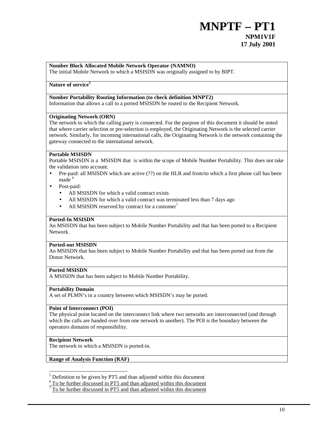## **Number Block Allocated Mobile Network Operator (NAMNO)**

The initial Mobile Network to which a MSISDN was originally assigned to by BIPT.

### Nature of service<sup>5</sup>

## **Number Portability Routing Information (to check definition MNPT2)**

Information that allows a call to a ported MSISDN be routed to the Recipient Network.

#### **Originating Network (ORN)**

The network to which the calling party is connected. For the purpose of this document it should be noted that where carrier selection or pre-selection is employed, the Originating Network is the selected carrier network. Similarly, for incoming international calls, the Originating Network is the network containing the gateway connected to the international network.

#### **Portable MSISDN**

Portable MSISDN is a MSISDN that is within the scope of Mobile Number Portability. This does not take the validation into account.

- Pre-paid: all MSISDN which are active (??) on the HLR and from/to which a first phone call has been made<sup>6</sup>
	- Post-paid:
		- All MSISDN for which a valid contract exists
		- All MSISDN for which a valid contract was terminated less than 7 days ago
		- All MSISDN reserved by contract for a customer $^7$

#### **Ported-In MSISDN**

An MSISDN that has been subject to Mobile Number Portability and that has been ported to a Recipient Network.

#### **Ported-out MSISDN**

An MSISDN that has been subject to Mobile Number Portability and that has been ported out from the Donor Network.

## **Ported MSISDN**

A MSISDN that has been subject to Mobile Number Portability.

#### **Portability Domain**

A set of PLMN's in a country between which MSISDN's may be ported.

#### **Point of Interconnect (POI)**

The physical point located on the interconnect link where two networks are interconnected (and through which the calls are handed over from one network to another). The POI is the boundary between the operators domains of responsibility.

#### **Recipient Network**

 $\overline{a}$ 

The network to which a MSISDN is ported-in.

### **Range of Analysis Function (RAF)**

 $<sup>5</sup>$  Definition to be given by PT5 and than adjusted within this document</sup>

<sup>&</sup>lt;sup>6</sup> To be further discussed in PT5 and than adjusted within this document

 $7$  To be further discussed in PT5 and than adjusted within this document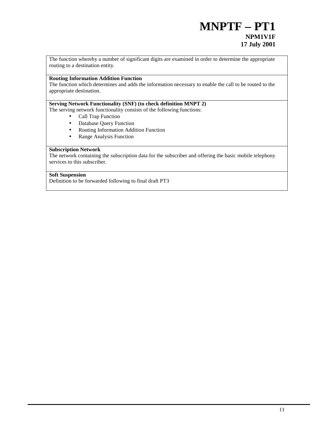The function whereby a number of significant digits are examined in order to determine the appropriate routing to a destination entity.

## **Routing Information Addition Function**

The function which determines and adds the information necessary to enable the call to be routed to the appropriate destination.

### **Serving Network Functionality (SNF) (to check definition MNPT 2)**

The serving network functionality consists of the following functions:

- Call Trap Function
- Database Query Function
- Routing Information Addition Function
- Range Analysis Function

#### **Subscription Network**

The network containing the subscription data for the subscriber and offering the basic mobile telephony services to this subscriber.

### **Soft Suspension**

Definition to be forwarded following to final draft PT3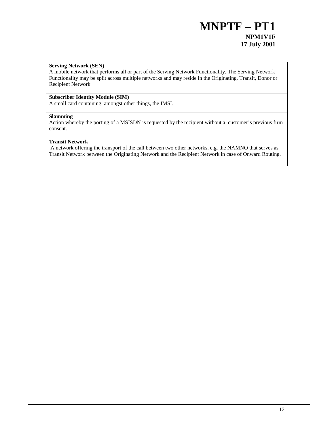### **Serving Network (SEN)**

A mobile network that performs all or part of the Serving Network Functionality. The Serving Network Functionality may be split across multiple networks and may reside in the Originating, Transit, Donor or Recipient Network.

## **Subscriber Identity Module (SIM)**

A small card containing, amongst other things, the IMSI.

#### **Slamming**

Action whereby the porting of a MSISDN is requested by the recipient without a customer's previous firm consent.

### **Transit Network**

A network offering the transport of the call between two other networks, e.g. the NAMNO that serves as Transit Network between the Originating Network and the Recipient Network in case of Onward Routing.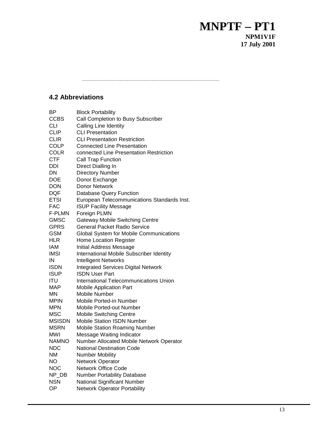## **4.2 Abbreviations**

| ВP            | <b>Block Portability</b>                    |
|---------------|---------------------------------------------|
| <b>CCBS</b>   | Call Completion to Busy Subscriber          |
| <b>CLI</b>    | <b>Calling Line Identity</b>                |
| <b>CLIP</b>   | <b>CLI Presentation</b>                     |
| CLIR          | <b>CLI Presentation Restriction</b>         |
| COLP          | <b>Connected Line Presentation</b>          |
| <b>COLR</b>   | connected Line Presentation Restriction     |
| <b>CTF</b>    | Call Trap Function                          |
| DDI           | Direct Dialling In                          |
| DN            | <b>Directory Number</b>                     |
| <b>DOE</b>    | Donor Exchange                              |
| <b>DON</b>    | <b>Donor Network</b>                        |
| DQF           | Database Query Function                     |
| <b>ETSI</b>   | European Telecommunications Standards Inst. |
| FAC           | <b>ISUP Facility Message</b>                |
| F-PLMN        | Foreign PLMN                                |
| <b>GMSC</b>   | <b>Gateway Mobile Switching Centre</b>      |
| <b>GPRS</b>   | <b>General Packet Radio Service</b>         |
| GSM           | Global System for Mobile Communications     |
| HLR           | <b>Home Location Register</b>               |
| <b>IAM</b>    | Initial Address Message                     |
| <b>IMSI</b>   | International Mobile Subscriber Identity    |
| IN            | <b>Intelligent Networks</b>                 |
| <b>ISDN</b>   | <b>Integrated Services Digital Network</b>  |
| <b>ISUP</b>   | <b>ISDN User Part</b>                       |
| ITU           | International Telecommunications Union      |
| MAP           | <b>Mobile Application Part</b>              |
| ΜN            | Mobile Number                               |
| MPIN          | <b>Mobile Ported-in Number</b>              |
| <b>MPN</b>    | Mobile Ported-out Number                    |
| MSC           | <b>Mobile Switching Centre</b>              |
| <b>MSISDN</b> | <b>Mobile Station ISDN Number</b>           |
| <b>MSRN</b>   | <b>Mobile Station Roaming Number</b>        |
| MWI           | Message Waiting Indicator                   |
| <b>NAMNO</b>  | Number Allocated Mobile Network Operator    |
| <b>NDC</b>    | <b>National Destination Code</b>            |
| ΝM            | <b>Number Mobility</b>                      |
| NO.           | Network Operator                            |
| <b>NOC</b>    | <b>Network Office Code</b>                  |
| NP_DB         | <b>Number Portability Database</b>          |
| <b>NSN</b>    | National Significant Number                 |
| OΡ            | <b>Network Operator Portability</b>         |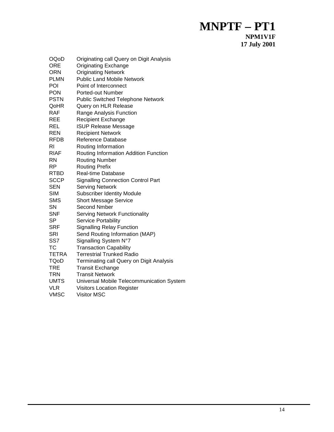| OQoD<br><b>ORE</b><br>ORN<br>PLMN<br>POI<br><b>PON</b> | Originating call Query on Digit Analysis<br><b>Originating Exchange</b><br><b>Originating Network</b><br><b>Public Land Mobile Network</b><br>Point of Interconnect<br>Ported-out Number |
|--------------------------------------------------------|------------------------------------------------------------------------------------------------------------------------------------------------------------------------------------------|
| <b>PSTN</b>                                            | <b>Public Switched Telephone Network</b>                                                                                                                                                 |
| QoHR                                                   | Query on HLR Release                                                                                                                                                                     |
| RAF                                                    | Range Analysis Function                                                                                                                                                                  |
| REE                                                    | <b>Recipient Exchange</b>                                                                                                                                                                |
| REL                                                    | <b>ISUP Release Message</b>                                                                                                                                                              |
| REN                                                    | <b>Recipient Network</b>                                                                                                                                                                 |
| RFDB                                                   | Reference Database                                                                                                                                                                       |
| RI                                                     | Routing Information                                                                                                                                                                      |
| RIAF                                                   | Routing Information Addition Function                                                                                                                                                    |
| RN                                                     | <b>Routing Number</b>                                                                                                                                                                    |
| RP                                                     | <b>Routing Prefix</b>                                                                                                                                                                    |
| RTBD                                                   | <b>Real-time Database</b>                                                                                                                                                                |
| <b>SCCP</b>                                            | <b>Signalling Connection Control Part</b>                                                                                                                                                |
| SEN                                                    | <b>Serving Network</b>                                                                                                                                                                   |
| <b>SIM</b>                                             | <b>Subscriber Identity Module</b>                                                                                                                                                        |
| <b>SMS</b>                                             | <b>Short Message Service</b>                                                                                                                                                             |
| SN                                                     | <b>Second Nmber</b>                                                                                                                                                                      |
| <b>SNF</b>                                             | <b>Serving Network Functionality</b>                                                                                                                                                     |
| SP                                                     | Service Portability                                                                                                                                                                      |
| <b>SRF</b>                                             | <b>Signalling Relay Function</b>                                                                                                                                                         |
| <b>SRI</b>                                             | Send Routing Information (MAP)                                                                                                                                                           |
| SS7                                                    | Signalling System N°7                                                                                                                                                                    |
| ТC                                                     | <b>Transaction Capability</b>                                                                                                                                                            |
| TETRA                                                  | <b>Terrestrial Trunked Radio</b>                                                                                                                                                         |
| TQoD                                                   | Terminating call Query on Digit Analysis                                                                                                                                                 |
| TRE                                                    | <b>Transit Exchange</b>                                                                                                                                                                  |
| TRN                                                    | <b>Transit Network</b>                                                                                                                                                                   |
| UMTS                                                   | Universal Mobile Telecommunication System                                                                                                                                                |
| VLR                                                    | <b>Visitors Location Register</b>                                                                                                                                                        |
| VMSC                                                   | <b>Visitor MSC</b>                                                                                                                                                                       |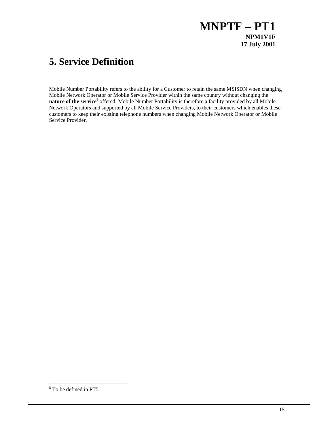# **5. Service Definition**

Mobile Number Portability refers to the ability for a Customer to retain the same MSISDN when changing Mobile Network Operator or Mobile Service Provider within the same country without changing the nature of the service<sup>8</sup> offered. Mobile Number Portability is therefore a facility provided by all Mobile Network Operators and supported by all Mobile Service Providers, to their customers which enables these customers to keep their existing telephone numbers when changing Mobile Network Operator or Mobile Service Provider.

<sup>&</sup>lt;sup>8</sup> To be defined in PT5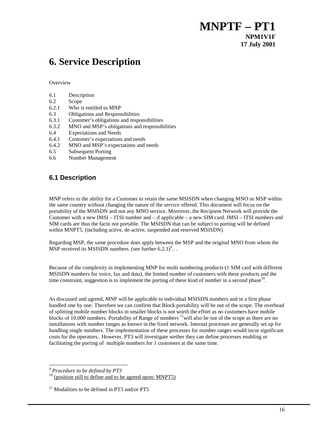# **6. Service Description**

**Overview** 

| 6.1 | Description |
|-----|-------------|
|     |             |

- 6.2 Scope
- 6.2.1 Who is entitled to MNP
- 6.3 Obligations and Responsibilities
- 6.3.1 Customer's obligations and responsibilities
- 6.3.2 MNO and MSP's obligations and responsibilities
- 6.4 Expectations and Needs
- 6.4.1 Customer's expectations and needs
- 6.4.2 MNO and MSP's expectations and needs
- 6.5 Subsequent Porting
- 6.6 Number Management

## **6.1 Description**

MNP refers to the ability for a Customer to retain the same MSISDN when changing MNO or MSP within the same country without changing the nature of the service offered. This document will focus on the portability of the MSISDN and not any MNO service. Moreover, the Recipient Network will provide the Customer with a new IMSI – ITSI number and – if applicable – a new SIM card. IMSI – ITSI numbers and SIM cards are thus the facto not portable. The MSISDN that can be subject to porting will be defined within MNPT5. (including active, de-active, suspended and reserved MSISDN)

Regarding MSP, the same procedure does apply between the MSP and the original MNO from whom the MSP received its MSISDN numbers. (see further  $6.2.1$ )<sup>9</sup>...

Because of the complexity in implementing MNP for multi numbering products (1 SIM card with different MSISDN numbers for voice, fax and data), the limited number of customers with these products and the time constraint, suggestion is to implement the porting of these kind of number in a second phase<sup>10</sup>.

As discussed and agreed, MNP will be applicable to individual MSISDN numbers and in a first phase handled one by one. Therefore we can confirm that Block portability will be out of the scope. The overhead of splitting mobile number blocks in smaller blocks is not worth the effort as no customers have mobile blocks of 10.000 numbers. Portability of Range of numbers  $\frac{11}{1}$ will also be out of the scope as there are no installations with number ranges as known in the fixed network. Internal processes are generally set up for handling single numbers. The implementation of these processes for number ranges would incur significant costs for the operators.. However, PT3 will investigate wether they can define processes enabling or facilitating the porting of multiple numbers for 1 customers at the same time.

l

<sup>9</sup> *Procedure to be defined by PT3*

 $10$  (position still to define and to be agreed upon: MNPT5)

 $11$  Modalities to be defined in PT3 and/or PT5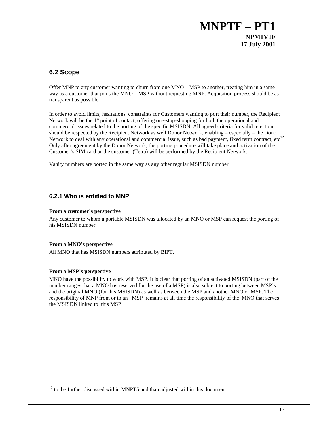## **6.2 Scope**

Offer MNP to any customer wanting to churn from one MNO – MSP to another, treating him in a same way as a customer that joins the MNO – MSP without requesting MNP. Acquisition process should be as transparent as possible.

In order to avoid limits, hesitations, constraints for Customers wanting to port their number, the Recipient Network will be the  $1<sup>st</sup>$  point of contact, offering one-stop-shopping for both the operational and commercial issues related to the porting of the specific MSISDN. All agreed criteria for valid rejection should be respected by the Recipient Network as well Donor Network, enabling – especially – the Donor Network to deal with any operational and commercial issue, such as bad payment, fixed term contract, etc<sup>12</sup> Only after agreement by the Donor Network, the porting procedure will take place and activation of the Customer's SIM card or the customer (Tetra) will be performed by the Recipient Network.

Vanity numbers are ported in the same way as any other regular MSISDN number.

## **6.2.1 Who is entitled to MNP**

### **From a customer's perspective**

Any customer to whom a portable MSISDN was allocated by an MNO or MSP can request the porting of his MSISDN number.

## **From a MNO's perspective**

All MNO that has MSISDN numbers attributed by BIPT.

## **From a MSP's perspective**

 $\overline{a}$ 

MNO have the possibility to work with MSP. It is clear that porting of an activated MSISDN (part of the number ranges that a MNO has reserved for the use of a MSP) is also subject to porting between MSP's and the original MNO (for this MSISDN) as well as between the MSP and another MNO or MSP. The responsibility of MNP from or to an MSP remains at all time the responsibility of the MNO that serves the MSISDN linked to this MSP.

 $12$  to be further discussed within MNPT5 and than adjusted within this document.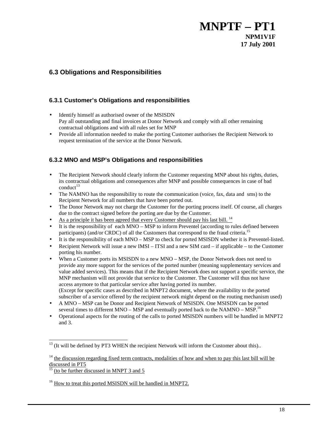## **6.3 Obligations and Responsibilities**

## **6.3.1 Customer's Obligations and responsibilities**

- Identify himself as authorised owner of the MSISDN Pay all outstanding and final invoices at Donor Network and comply with all other remaining contractual obligations and with all rules set for MNP
- Provide all information needed to make the porting Customer authorises the Recipient Network to request termination of the service at the Donor Network.

## **6.3.2 MNO and MSP's Obligations and responsibilities**

- The Recipient Network should clearly inform the Customer requesting MNP about his rights, duties, its contractual obligations and consequences after MNP and possible consequences in case of bad  $\text{conduct}^{13}$
- The NAMNO has the responsibility to route the communication (voice, fax, data and sms) to the Recipient Network for all numbers that have been ported out.
- The Donor Network may not charge the Customer for the porting process itself. Of course, all charges due to the contract signed before the porting are due by the Customer.
- As a principle it has been agreed that every Customer should pay his last bill. <sup>14</sup>
- It is the responsibility of each MNO MSP to inform Preventel (according to rules defined between participants) (and/or CRDC) of all the Customers that correspond to the fraud criteria.<sup>15</sup>
- It is the responsibility of each MNO MSP to check for ported MSISDN whether it is Preventel-listed.
- Recipient Network will issue a new IMSI ITSI and a new SIM card if applicable to the Customer porting his number.
- When a Customer ports its MSISDN to a new MNO MSP, the Donor Network does not need to provide any more support for the services of the ported number (meaning supplementary services and value added services). This means that if the Recipient Network does not support a specific service, the MNP mechanism will not provide that service to the Customer. The Customer will thus not have access anymore to that particular service after having ported its number. (Except for specific cases as described in MNPT2 document, where the availability to the ported subscriber of a service offered by the recipient network might depend on the routing mechanism used)
- A MNO MSP can be Donor and Recipient Network of MSISDN. One MSISDN can be ported several times to different MNO – MSP and eventually ported back to the NAMNO – MSP.<sup>16</sup>
- Operational aspects for the routing of the calls to ported MSISDN numbers will be handled in MNPT2 and 3.

 $13$  (It will be defined by PT3 WHEN the recipient Network will inform the Customer about this)..

 $14$  the discussion regarding fixed term contracts, modalities of how and when to pay this last bill will be discussed in PT5

<sup>15 (</sup>to be further discussed in MNPT 3 and 5

<sup>&</sup>lt;sup>16</sup> How to treat this ported MSISDN will be handled in MNPT2.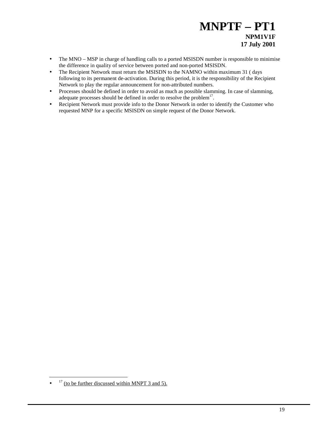- The MNO MSP in charge of handling calls to a ported MSISDN number is responsible to minimise the difference in quality of service between ported and non-ported MSISDN.
- The Recipient Network must return the MSISDN to the NAMNO within maximum 31 (days following to its permanent de-activation. During this period, it is the responsibility of the Recipient Network to play the regular announcement for non-attributed numbers.
- Processes should be defined in order to avoid as much as possible slamming. In case of slamming, adequate processes should be defined in order to resolve the problem<sup>17</sup>.
- Recipient Network must provide info to the Donor Network in order to identify the Customer who requested MNP for a specific MSISDN on simple request of the Donor Network.

 $\bullet$  <sup>17</sup> (to be further discussed within MNPT 3 and 5).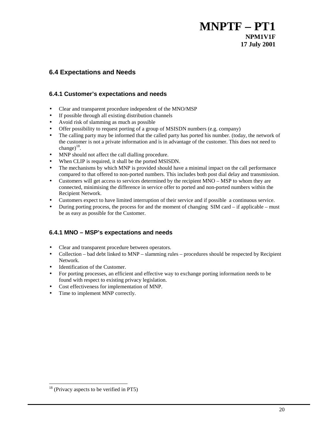## **6.4 Expectations and Needs**

## **6.4.1 Customer's expectations and needs**

- Clear and transparent procedure independent of the MNO/MSP
- If possible through all existing distribution channels
- Avoid risk of slamming as much as possible
- Offer possibility to request porting of a group of MSISDN numbers (e.g. company)
- The calling party may be informed that the called party has ported his number. (today, the network of the customer is not a private information and is in advantage of the customer. This does not need to change) $^{18}$ .
- MNP should not affect the call dialling procedure.
- When CLIP is required, it shall be the ported MSISDN.
- The mechanisms by which MNP is provided should have a minimal impact on the call performance compared to that offered to non-ported numbers. This includes both post dial delay and transmission.
- Customers will get access to services determined by the recipient MNO MSP to whom they are connected, minimising the difference in service offer to ported and non-ported numbers within the Recipient Network.
- Customers expect to have limited interruption of their service and if possible a continuous service.
- During porting process, the process for and the moment of changing SIM card if applicable must be as easy as possible for the Customer.

## **6.4.1 MNO – MSP's expectations and needs**

- Clear and transparent procedure between operators.
- Collection bad debt linked to MNP slamming rules procedures should be respected by Recipient Network.
- Identification of the Customer.
- For porting processes, an efficient and effective way to exchange porting information needs to be found with respect to existing privacy legislation.
- Cost effectiveness for implementation of MNP.
- Time to implement MNP correctly.

<sup>&</sup>lt;sup>18</sup> (Privacy aspects to be verified in PT5)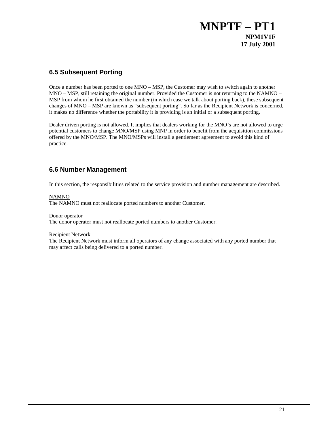## **6.5 Subsequent Porting**

Once a number has been ported to one MNO – MSP, the Customer may wish to switch again to another MNO – MSP, still retaining the original number. Provided the Customer is not returning to the NAMNO – MSP from whom he first obtained the number (in which case we talk about porting back), these subsequent changes of MNO – MSP are known as "subsequent porting". So far as the Recipient Network is concerned, it makes no difference whether the portability it is providing is an initial or a subsequent porting.

Dealer driven porting is not allowed. It implies that dealers working for the MNO's are not allowed to urge potential customers to change MNO/MSP using MNP in order to benefit from the acquisition commissions offered by the MNO/MSP. The MNO/MSPs will install a gentlement agreement to avoid this kind of practice.

## **6.6 Number Management**

In this section, the responsibilities related to the service provision and number management are described.

### NAMNO

The NAMNO must not reallocate ported numbers to another Customer.

Donor operator

The donor operator must not reallocate ported numbers to another Customer.

### Recipient Network

The Recipient Network must inform all operators of any change associated with any ported number that may affect calls being delivered to a ported number.